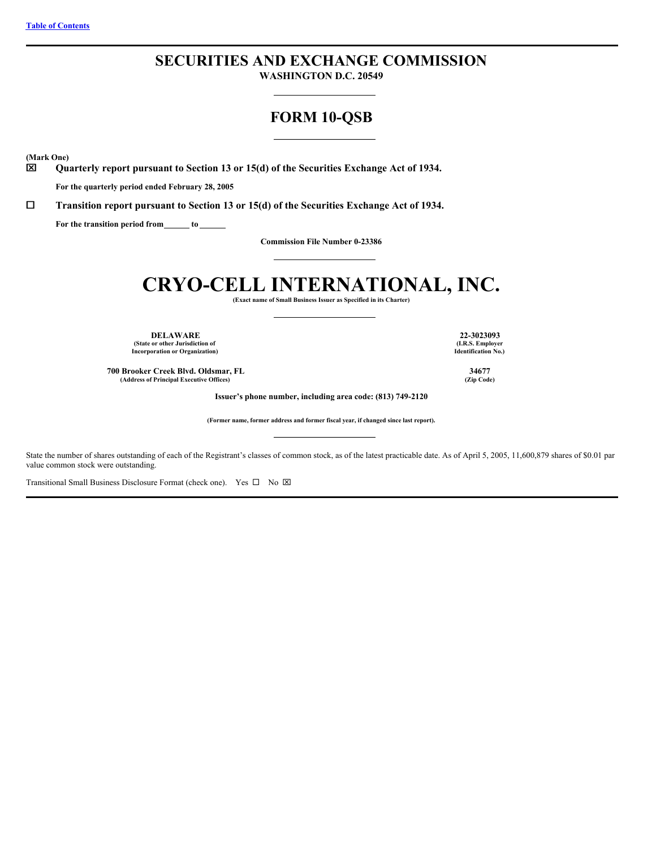## **SECURITIES AND EXCHANGE COMMISSION**

**WASHINGTON D.C. 20549**

## **FORM 10-QSB**

**(Mark One)**

x **Quarterly report pursuant to Section 13 or 15(d) of the Securities Exchange Act of 1934.**

**For the quarterly period ended February 28, 2005**

¨ **Transition report pursuant to Section 13 or 15(d) of the Securities Exchange Act of 1934.**

**For the transition period from to**

**Commission File Number 0-23386**

# **CRYO-CELL INTERNATIONAL, INC.**

**(Exact name of Small Business Issuer as Specified in its Charter)**

**DELAWARE 22-3023093 (State or other Jurisdiction of Incorporation or Organization)**

**700 Brooker Creek Blvd. Oldsmar, FL 34677**  $(A$ ddress of **Principal Executive** Offices)

**(I.R.S. Employer Identification No.)**

**Issuer's phone number, including area code: (813) 749-2120**

**(Former name, former address and former fiscal year, if changed since last report).**

State the number of shares outstanding of each of the Registrant's classes of common stock, as of the latest practicable date. As of April 5, 2005, 11,600,879 shares of \$0.01 par value common stock were outstanding.

Transitional Small Business Disclosure Format (check one). Yes  $\square$  No  $\square$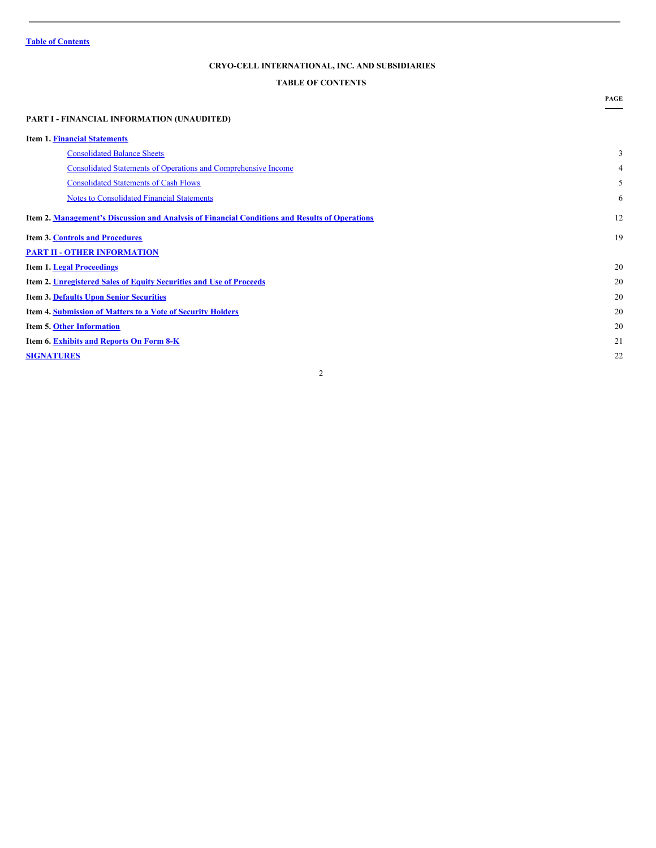### <span id="page-1-0"></span>**CRYO-CELL INTERNATIONAL, INC. AND SUBSIDIARIES**

## **TABLE OF CONTENTS**

## **PART I - FINANCIAL INFORMATION (UNAUDITED) Item 1. Financial [Statements](#page-2-0) [Consolidated](#page-2-1) Balance Sheets** 3 Consolidated Statements of Operations and [Comprehensive](#page-3-0) Income 4 [Consolidated](#page-4-0) Statements of Cash Flows 5 Notes to [Consolidated](#page-5-0) Financial Statements 6 **Item 2. [Management's](#page-11-0) Discussion and Analysis of Financial Conditions and Results of Operations** 12 **Item 3. Controls and [Procedures](#page-18-0)** 19 **PART II - OTHER [INFORMATION](#page-19-0) Item 1. Legal [Proceedings](#page-19-1)** 20 **Item 2. [Unregistered](#page-19-2) Sales of Equity Securities and Use of Proceeds** 20 **Item 3. Defaults Upon Senior [Securities](#page-19-3)** 20 **Item 4. [Submission](#page-19-4) of Matters to a Vote of Security Holders** 20 **Item 5. Other [Information](#page-19-5)** 20 **Item 6. [Exhibits](#page-20-0) and Reports On Form 8-K** 21 **[SIGNATURES](#page-21-0)** 22

**PAGE**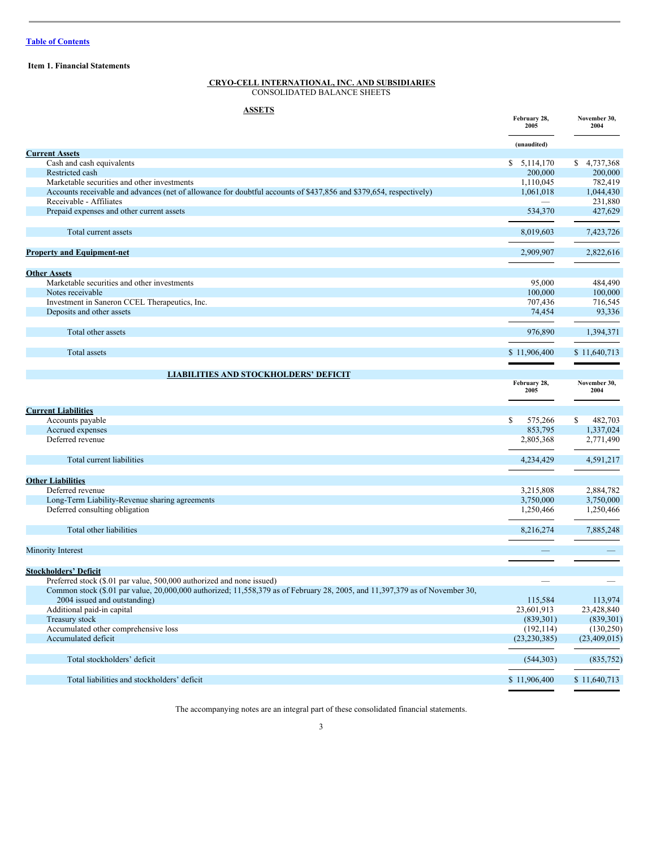<span id="page-2-0"></span>**Item 1. Financial Statements**

#### <span id="page-2-1"></span>**CRYO-CELL INTERNATIONAL, INC. AND SUBSIDIARIES**

CONSOLIDATED BALANCE SHEETS

| <b>ASSETS</b>                                                                                                                                               |                      |                      |
|-------------------------------------------------------------------------------------------------------------------------------------------------------------|----------------------|----------------------|
|                                                                                                                                                             | February 28,<br>2005 | November 30,<br>2004 |
|                                                                                                                                                             | (unaudited)          |                      |
| <b>Current Assets</b>                                                                                                                                       |                      |                      |
| Cash and cash equivalents                                                                                                                                   | \$5,114,170          | \$4,737,368          |
| Restricted cash                                                                                                                                             | 200,000              | 200,000              |
| Marketable securities and other investments                                                                                                                 | 1,110,045            | 782,419              |
| Accounts receivable and advances (net of allowance for doubtful accounts of \$437,856 and \$379,654, respectively)                                          | 1,061,018            | 1,044,430            |
| Receivable - Affiliates                                                                                                                                     |                      | 231,880              |
| Prepaid expenses and other current assets                                                                                                                   | 534,370              | 427,629              |
| Total current assets                                                                                                                                        | 8,019,603            | 7,423,726            |
| <b>Property and Equipment-net</b>                                                                                                                           | 2.909.907            | 2,822,616            |
| <b>Other Assets</b>                                                                                                                                         |                      |                      |
| Marketable securities and other investments                                                                                                                 | 95,000               | 484,490              |
| Notes receivable                                                                                                                                            | 100,000              | 100,000              |
| Investment in Saneron CCEL Therapeutics, Inc.                                                                                                               | 707,436              | 716,545              |
| Deposits and other assets                                                                                                                                   | 74,454               | 93,336               |
| Total other assets                                                                                                                                          | 976,890              | 1,394,371            |
|                                                                                                                                                             |                      |                      |
| Total assets                                                                                                                                                | \$11,906,400         | \$11,640,713         |
| <b>LIABILITIES AND STOCKHOLDERS' DEFICIT</b>                                                                                                                |                      |                      |
|                                                                                                                                                             | February 28,         | November 30,         |
|                                                                                                                                                             | 2005                 | 2004                 |
| <b>Current Liabilities</b>                                                                                                                                  |                      |                      |
| Accounts payable                                                                                                                                            | \$<br>575,266        | 482,703<br>\$        |
| Accrued expenses                                                                                                                                            | 853,795              | 1,337,024            |
| Deferred revenue                                                                                                                                            | 2,805,368            | 2,771,490            |
|                                                                                                                                                             |                      |                      |
| Total current liabilities                                                                                                                                   | 4,234,429            | 4,591,217            |
| <b>Other Liabilities</b>                                                                                                                                    |                      |                      |
| Deferred revenue                                                                                                                                            | 3,215,808            | 2,884,782            |
| Long-Term Liability-Revenue sharing agreements                                                                                                              | 3,750,000            | 3,750,000            |
| Deferred consulting obligation                                                                                                                              | 1,250,466            | 1,250,466            |
| Total other liabilities                                                                                                                                     | 8,216,274            | 7,885,248            |
|                                                                                                                                                             |                      |                      |
| <b>Minority Interest</b>                                                                                                                                    |                      |                      |
| <b>Stockholders' Deficit</b>                                                                                                                                |                      |                      |
| Preferred stock (\$.01 par value, 500,000 authorized and none issued)                                                                                       |                      |                      |
| Common stock (\$.01 par value, 20,000,000 authorized; 11,558,379 as of February 28, 2005, and 11,397,379 as of November 30,<br>2004 issued and outstanding) | 115,584              | 113,974              |
| Additional paid-in capital                                                                                                                                  | 23,601,913           | 23,428,840           |
| Treasury stock                                                                                                                                              | (839, 301)           | (839, 301)           |
| Accumulated other comprehensive loss                                                                                                                        | (192, 114)           | (130, 250)           |
| Accumulated deficit                                                                                                                                         | (23, 230, 385)       | (23,409,015)         |
| Total stockholders' deficit                                                                                                                                 | (544, 303)           | (835,752)            |
| Total liabilities and stockholders' deficit                                                                                                                 | \$11,906,400         | \$11,640,713         |

The accompanying notes are an integral part of these consolidated financial statements.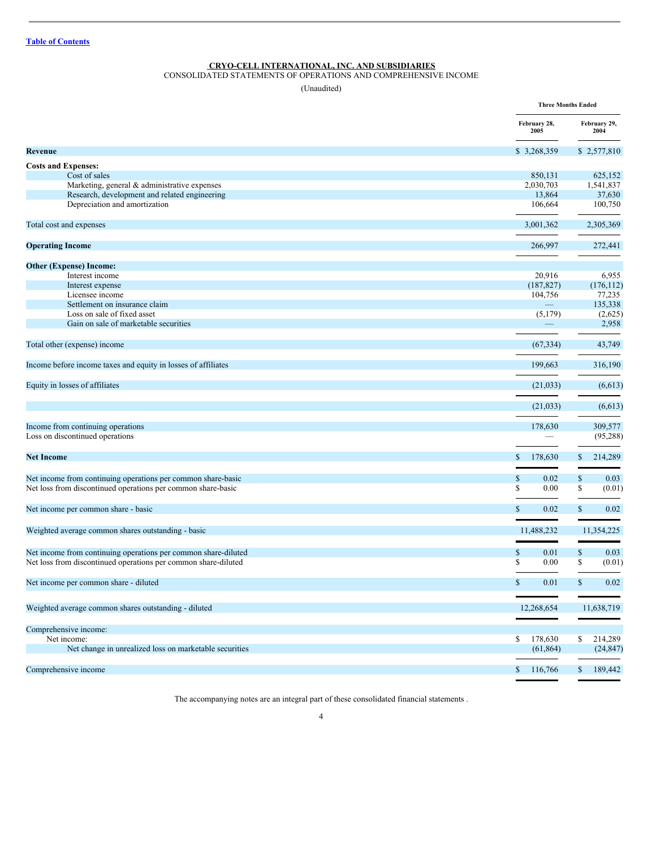#### <span id="page-3-0"></span>**CRYO-CELL INTERNATIONAL, INC. AND SUBSIDIARIES**

CONSOLIDATED STATEMENTS OF OPERATIONS AND COMPREHENSIVE INCOME

(Unaudited)

|                                                                |                          | <b>Three Months Ended</b> |  |
|----------------------------------------------------------------|--------------------------|---------------------------|--|
|                                                                | February 28,<br>2005     | February 29,<br>2004      |  |
| Revenue                                                        | \$3,268,359              | \$2,577,810               |  |
| <b>Costs and Expenses:</b>                                     |                          |                           |  |
| Cost of sales                                                  | 850,131                  | 625,152                   |  |
| Marketing, general & administrative expenses                   | 2,030,703                | 1,541,837                 |  |
| Research, development and related engineering                  | 13,864                   | 37,630                    |  |
| Depreciation and amortization                                  | 106,664                  | 100,750                   |  |
| Total cost and expenses                                        | 3,001,362                | 2,305,369                 |  |
| <b>Operating Income</b>                                        | 266,997                  | 272,441                   |  |
| <b>Other (Expense) Income:</b>                                 |                          |                           |  |
| Interest income                                                | 20,916                   | 6,955                     |  |
| Interest expense                                               | (187, 827)               | (176, 112)                |  |
| Licensee income                                                | 104,756                  | 77,235                    |  |
| Settlement on insurance claim                                  | $\overline{\phantom{0}}$ | 135,338                   |  |
| Loss on sale of fixed asset                                    | (5,179)                  | (2,625)                   |  |
| Gain on sale of marketable securities                          |                          | 2,958                     |  |
| Total other (expense) income                                   | (67, 334)                | 43,749                    |  |
| Income before income taxes and equity in losses of affiliates  | 199,663                  | 316,190                   |  |
| Equity in losses of affiliates                                 | (21, 033)                | (6,613)                   |  |
|                                                                | (21,033)                 | (6,613)                   |  |
| Income from continuing operations                              | 178,630                  | 309,577                   |  |
| Loss on discontinued operations                                |                          | (95, 288)                 |  |
| <b>Net Income</b>                                              | \$<br>178,630            | 214,289<br>$\mathbb{S}$   |  |
| Net income from continuing operations per common share-basic   | \$<br>0.02               | \$<br>0.03                |  |
| Net loss from discontinued operations per common share-basic   | S<br>0.00                | \$<br>(0.01)              |  |
|                                                                |                          |                           |  |
| Net income per common share - basic                            | $\mathbf S$<br>0.02      | $\mathbb{S}$<br>0.02      |  |
| Weighted average common shares outstanding - basic             | 11,488,232               | 11,354,225                |  |
| Net income from continuing operations per common share-diluted | \$<br>0.01               | \$<br>0.03                |  |
| Net loss from discontinued operations per common share-diluted | \$<br>0.00               | \$<br>(0.01)              |  |
| Net income per common share - diluted                          | $0.01\,$<br>\$           | \$<br>0.02                |  |
| Weighted average common shares outstanding - diluted           | 12,268,654               | 11,638,719                |  |
| Comprehensive income:                                          |                          |                           |  |
| Net income:                                                    | 178,630<br>\$            | 214,289<br>\$             |  |
| Net change in unrealized loss on marketable securities         | (61, 864)                | (24, 847)                 |  |
| Comprehensive income                                           | \$<br>116,766            | 189,442<br>\$             |  |

The accompanying notes are an integral part of these consolidated financial statements .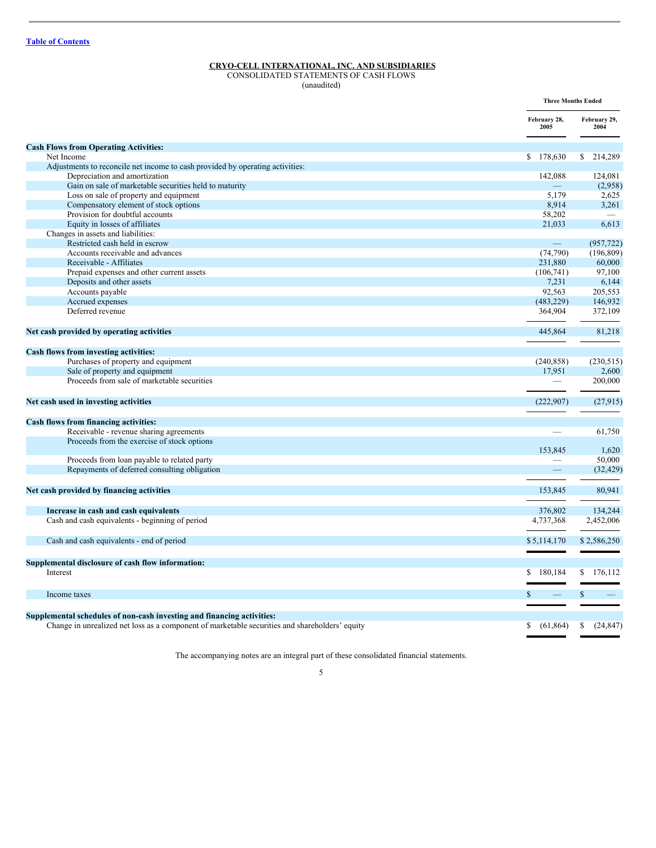#### <span id="page-4-0"></span>**CRYO-CELL INTERNATIONAL, INC. AND SUBSIDIARIES**

CONSOLIDATED STATEMENTS OF CASH FLOWS (unaudited)

|                                                                                                |                          | <b>Three Months Ended</b> |  |
|------------------------------------------------------------------------------------------------|--------------------------|---------------------------|--|
|                                                                                                | February 28.<br>2005     | February 29.<br>2004      |  |
| <b>Cash Flows from Operating Activities:</b>                                                   |                          |                           |  |
| Net Income                                                                                     | \$178,630                | \$ 214,289                |  |
| Adjustments to reconcile net income to cash provided by operating activities:                  |                          |                           |  |
| Depreciation and amortization                                                                  | 142,088                  | 124,081                   |  |
| Gain on sale of marketable securities held to maturity                                         |                          | (2,958)                   |  |
| Loss on sale of property and equipment                                                         | 5.179                    | 2,625                     |  |
| Compensatory element of stock options                                                          | 8,914                    | 3,261                     |  |
| Provision for doubtful accounts                                                                | 58,202                   |                           |  |
| Equity in losses of affiliates                                                                 | 21,033                   | 6,613                     |  |
| Changes in assets and liabilities:                                                             |                          |                           |  |
| Restricted cash held in escrow                                                                 | $\equiv$                 | (957, 722)                |  |
| Accounts receivable and advances                                                               | (74, 790)                | (196, 809)                |  |
| Receivable - Affiliates                                                                        | 231,880                  | 60,000                    |  |
| Prepaid expenses and other current assets                                                      | (106,741)                | 97.100                    |  |
| Deposits and other assets                                                                      | 7,231                    | 6,144                     |  |
| Accounts payable                                                                               | 92,563                   | 205,553                   |  |
| Accrued expenses                                                                               | (483, 229)               | 146,932                   |  |
| Deferred revenue                                                                               | 364,904                  | 372,109                   |  |
| Net cash provided by operating activities                                                      | 445,864                  | 81,218                    |  |
|                                                                                                |                          |                           |  |
| Cash flows from investing activities:                                                          |                          |                           |  |
| Purchases of property and equipment                                                            | (240, 858)               | (230,515)                 |  |
| Sale of property and equipment                                                                 | 17,951                   | 2,600                     |  |
| Proceeds from sale of marketable securities                                                    |                          | 200,000                   |  |
| Net cash used in investing activities                                                          | (222, 907)               | (27, 915)                 |  |
| Cash flows from financing activities:                                                          |                          |                           |  |
| Receivable - revenue sharing agreements                                                        | $\overline{\phantom{0}}$ | 61,750                    |  |
| Proceeds from the exercise of stock options                                                    | 153.845                  | 1.620                     |  |
| Proceeds from loan payable to related party                                                    |                          | 50,000                    |  |
| Repayments of deferred consulting obligation                                                   |                          | (32, 429)                 |  |
|                                                                                                |                          |                           |  |
| Net cash provided by financing activities                                                      | 153,845                  | 80.941                    |  |
| Increase in cash and cash equivalents                                                          | 376,802                  | 134,244                   |  |
| Cash and cash equivalents - beginning of period                                                | 4,737,368                | 2,452,006                 |  |
|                                                                                                |                          |                           |  |
| Cash and cash equivalents - end of period                                                      | \$5,114,170              | \$2,586,250               |  |
| Supplemental disclosure of cash flow information:                                              |                          |                           |  |
| Interest                                                                                       | \$180,184                | \$176,112                 |  |
| Income taxes                                                                                   | \$.<br>$\equiv$          | \$                        |  |
|                                                                                                |                          |                           |  |
| Supplemental schedules of non-cash investing and financing activities:                         |                          |                           |  |
| Change in unrealized net loss as a component of marketable securities and shareholders' equity | \$<br>(61, 864)          | \$<br>(24, 847)           |  |

The accompanying notes are an integral part of these consolidated financial statements.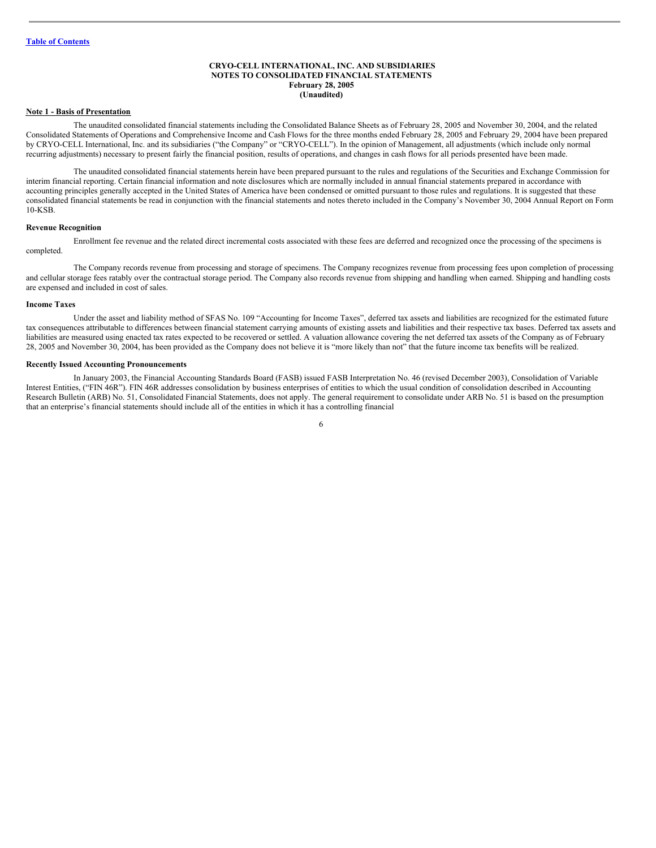#### <span id="page-5-0"></span>**CRYO-CELL INTERNATIONAL, INC. AND SUBSIDIARIES NOTES TO CONSOLIDATED FINANCIAL STATEMENTS February 28, 2005 (Unaudited)**

#### **Note 1 - Basis of Presentation**

The unaudited consolidated financial statements including the Consolidated Balance Sheets as of February 28, 2005 and November 30, 2004, and the related Consolidated Statements of Operations and Comprehensive Income and Cash Flows for the three months ended February 28, 2005 and February 29, 2004 have been prepared by CRYO-CELL International, Inc. and its subsidiaries ("the Company" or "CRYO-CELL"). In the opinion of Management, all adjustments (which include only normal recurring adjustments) necessary to present fairly the financial position, results of operations, and changes in cash flows for all periods presented have been made.

The unaudited consolidated financial statements herein have been prepared pursuant to the rules and regulations of the Securities and Exchange Commission for interim financial reporting. Certain financial information and note disclosures which are normally included in annual financial statements prepared in accordance with accounting principles generally accepted in the United States of America have been condensed or omitted pursuant to those rules and regulations. It is suggested that these consolidated financial statements be read in conjunction with the financial statements and notes thereto included in the Company's November 30, 2004 Annual Report on Form 10-KSB.

#### **Revenue Recognition**

Enrollment fee revenue and the related direct incremental costs associated with these fees are deferred and recognized once the processing of the specimens is completed.

The Company records revenue from processing and storage of specimens. The Company recognizes revenue from processing fees upon completion of processing and cellular storage fees ratably over the contractual storage period. The Company also records revenue from shipping and handling when earned. Shipping and handling costs are expensed and included in cost of sales.

#### **Income Taxes**

Under the asset and liability method of SFAS No. 109 "Accounting for Income Taxes", deferred tax assets and liabilities are recognized for the estimated future tax consequences attributable to differences between financial statement carrying amounts of existing assets and liabilities and their respective tax bases. Deferred tax assets and liabilities are measured using enacted tax rates expected to be recovered or settled. A valuation allowance covering the net deferred tax assets of the Company as of February 28, 2005 and November 30, 2004, has been provided as the Company does not believe it is "more likely than not" that the future income tax benefits will be realized.

#### **Recently Issued Accounting Pronouncements**

In January 2003, the Financial Accounting Standards Board (FASB) issued FASB Interpretation No. 46 (revised December 2003), Consolidation of Variable Interest Entities, ("FIN 46R"). FIN 46R addresses consolidation by business enterprises of entities to which the usual condition of consolidation described in Accounting Research Bulletin (ARB) No. 51, Consolidated Financial Statements, does not apply. The general requirement to consolidate under ARB No. 51 is based on the presumption that an enterprise's financial statements should include all of the entities in which it has a controlling financial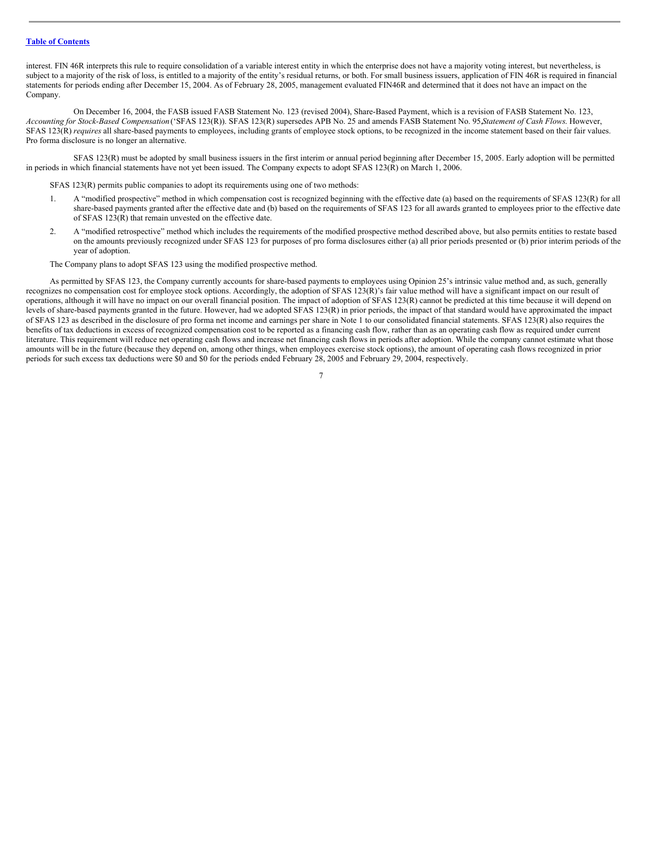interest. FIN 46R interprets this rule to require consolidation of a variable interest entity in which the enterprise does not have a majority voting interest, but nevertheless, is subject to a majority of the risk of loss, is entitled to a majority of the entity's residual returns, or both. For small business issuers, application of FIN 46R is required in financial statements for periods ending after December 15, 2004. As of February 28, 2005, management evaluated FIN46R and determined that it does not have an impact on the Company.

On December 16, 2004, the FASB issued FASB Statement No. 123 (revised 2004), Share-Based Payment, which is a revision of FASB Statement No. 123, *Accounting for Stock-Based Compensation* ('SFAS 123(R)). SFAS 123(R) supersedes APB No. 25 and amends FASB Statement No. 95,*Statement of Cash Flows*. However, SFAS 123(R) *requires* all share-based payments to employees, including grants of employee stock options, to be recognized in the income statement based on their fair values. Pro forma disclosure is no longer an alternative.

SFAS 123(R) must be adopted by small business issuers in the first interim or annual period beginning after December 15, 2005. Early adoption will be permitted in periods in which financial statements have not yet been issued. The Company expects to adopt SFAS 123(R) on March 1, 2006.

SFAS 123(R) permits public companies to adopt its requirements using one of two methods:

- 1. A "modified prospective" method in which compensation cost is recognized beginning with the effective date (a) based on the requirements of SFAS 123(R) for all share-based payments granted after the effective date and (b) based on the requirements of SFAS 123 for all awards granted to employees prior to the effective date of SFAS 123(R) that remain unvested on the effective date.
- 2. A "modified retrospective" method which includes the requirements of the modified prospective method described above, but also permits entities to restate based on the amounts previously recognized under SFAS 123 for purposes of pro forma disclosures either (a) all prior periods presented or (b) prior interim periods of the year of adoption.

The Company plans to adopt SFAS 123 using the modified prospective method.

As permitted by SFAS 123, the Company currently accounts for share-based payments to employees using Opinion 25's intrinsic value method and, as such, generally recognizes no compensation cost for employee stock options. Accordingly, the adoption of SFAS 123(R)'s fair value method will have a significant impact on our result of operations, although it will have no impact on our overall financial position. The impact of adoption of SFAS 123(R) cannot be predicted at this time because it will depend on levels of share-based payments granted in the future. However, had we adopted SFAS 123(R) in prior periods, the impact of that standard would have approximated the impact of SFAS 123 as described in the disclosure of pro forma net income and earnings per share in Note 1 to our consolidated financial statements. SFAS 123(R) also requires the benefits of tax deductions in excess of recognized compensation cost to be reported as a financing cash flow, rather than as an operating cash flow as required under current literature. This requirement will reduce net operating cash flows and increase net financing cash flows in periods after adoption. While the company cannot estimate what those amounts will be in the future (because they depend on, among other things, when employees exercise stock options), the amount of operating cash flows recognized in prior periods for such excess tax deductions were \$0 and \$0 for the periods ended February 28, 2005 and February 29, 2004, respectively.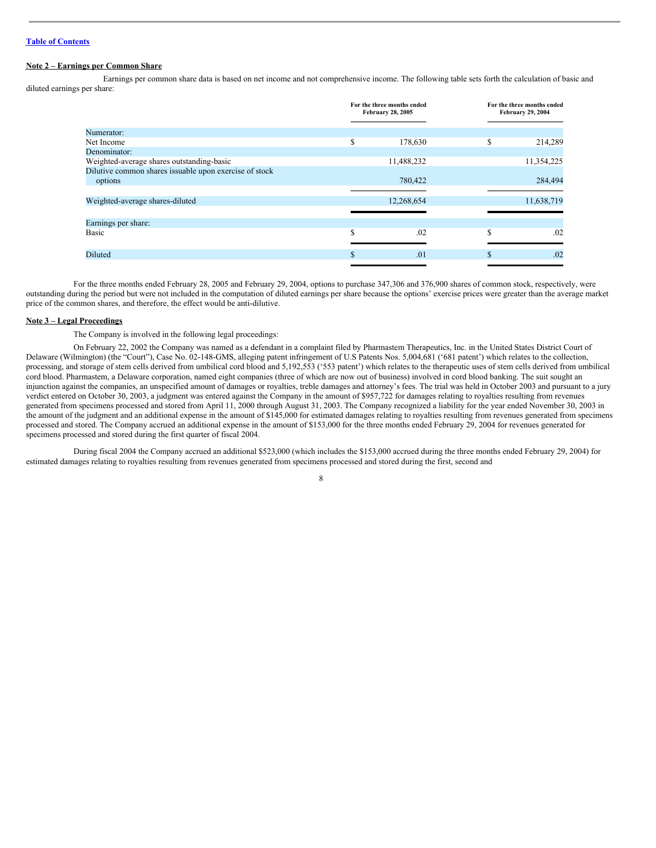#### **Note 2 – Earnings per Common Share**

Earnings per common share data is based on net income and not comprehensive income. The following table sets forth the calculation of basic and diluted earnings per share:

|                                                        |    | For the three months ended<br><b>February 28, 2005</b> | For the three months ended<br><b>February 29, 2004</b> |
|--------------------------------------------------------|----|--------------------------------------------------------|--------------------------------------------------------|
| Numerator:                                             |    |                                                        |                                                        |
| Net Income                                             | \$ | 178,630                                                | \$<br>214,289                                          |
| Denominator:                                           |    |                                                        |                                                        |
| Weighted-average shares outstanding-basic              |    | 11,488,232                                             | 11,354,225                                             |
| Dilutive common shares issuable upon exercise of stock |    |                                                        |                                                        |
| options                                                |    | 780,422                                                | 284,494                                                |
|                                                        |    |                                                        |                                                        |
| Weighted-average shares-diluted                        |    | 12,268,654                                             | 11,638,719                                             |
|                                                        |    |                                                        |                                                        |
| Earnings per share:                                    |    |                                                        |                                                        |
| Basic                                                  | S  | .02                                                    | \$<br>.02                                              |
|                                                        |    |                                                        |                                                        |
| Diluted                                                | S  | .01                                                    | \$<br>.02                                              |
|                                                        |    |                                                        |                                                        |

For the three months ended February 28, 2005 and February 29, 2004, options to purchase 347,306 and 376,900 shares of common stock, respectively, were outstanding during the period but were not included in the computation of diluted earnings per share because the options' exercise prices were greater than the average market price of the common shares, and therefore, the effect would be anti-dilutive.

#### **Note 3 – Legal Proceedings**

The Company is involved in the following legal proceedings:

On February 22, 2002 the Company was named as a defendant in a complaint filed by Pharmastem Therapeutics, Inc. in the United States District Court of Delaware (Wilmington) (the "Court"), Case No. 02-148-GMS, alleging patent infringement of U.S Patents Nos. 5,004,681 ('681 patent') which relates to the collection, processing, and storage of stem cells derived from umbilical cord blood and 5,192,553 ('553 patent') which relates to the therapeutic uses of stem cells derived from umbilical cord blood. Pharmastem, a Delaware corporation, named eight companies (three of which are now out of business) involved in cord blood banking. The suit sought an injunction against the companies, an unspecified amount of damages or royalties, treble damages and attorney's fees. The trial was held in October 2003 and pursuant to a jury verdict entered on October 30, 2003, a judgment was entered against the Company in the amount of \$957,722 for damages relating to royalties resulting from revenues generated from specimens processed and stored from April 11, 2000 through August 31, 2003. The Company recognized a liability for the year ended November 30, 2003 in the amount of the judgment and an additional expense in the amount of \$145,000 for estimated damages relating to royalties resulting from revenues generated from specimens processed and stored. The Company accrued an additional expense in the amount of \$153,000 for the three months ended February 29, 2004 for revenues generated for specimens processed and stored during the first quarter of fiscal 2004.

During fiscal 2004 the Company accrued an additional \$523,000 (which includes the \$153,000 accrued during the three months ended February 29, 2004) for estimated damages relating to royalties resulting from revenues generated from specimens processed and stored during the first, second and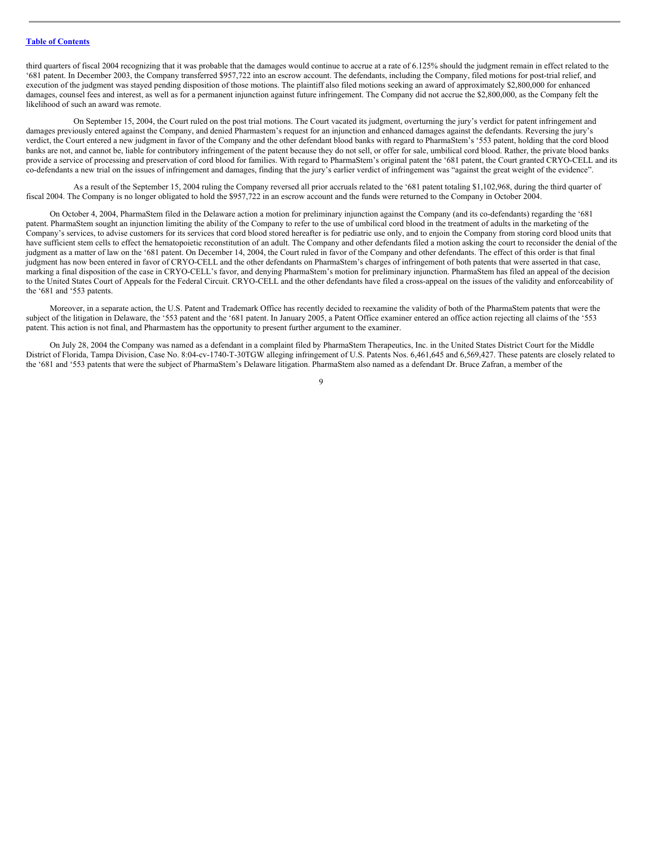third quarters of fiscal 2004 recognizing that it was probable that the damages would continue to accrue at a rate of 6.125% should the judgment remain in effect related to the '681 patent. In December 2003, the Company transferred \$957,722 into an escrow account. The defendants, including the Company, filed motions for post-trial relief, and execution of the judgment was stayed pending disposition of those motions. The plaintiff also filed motions seeking an award of approximately \$2,800,000 for enhanced damages, counsel fees and interest, as well as for a permanent injunction against future infringement. The Company did not accrue the \$2,800,000, as the Company felt the likelihood of such an award was remote.

On September 15, 2004, the Court ruled on the post trial motions. The Court vacated its judgment, overturning the jury's verdict for patent infringement and damages previously entered against the Company, and denied Pharmastem's request for an injunction and enhanced damages against the defendants. Reversing the jury's verdict, the Court entered a new judgment in favor of the Company and the other defendant blood banks with regard to PharmaStem's '553 patent, holding that the cord blood banks are not, and cannot be, liable for contributory infringement of the patent because they do not sell, or offer for sale, umbilical cord blood. Rather, the private blood banks provide a service of processing and preservation of cord blood for families. With regard to PharmaStem's original patent the '681 patent, the Court granted CRYO-CELL and its co-defendants a new trial on the issues of infringement and damages, finding that the jury's earlier verdict of infringement was "against the great weight of the evidence".

As a result of the September 15, 2004 ruling the Company reversed all prior accruals related to the '681 patent totaling \$1,102,968, during the third quarter of fiscal 2004. The Company is no longer obligated to hold the \$957,722 in an escrow account and the funds were returned to the Company in October 2004.

On October 4, 2004, PharmaStem filed in the Delaware action a motion for preliminary injunction against the Company (and its co-defendants) regarding the '681 patent. PharmaStem sought an injunction limiting the ability of the Company to refer to the use of umbilical cord blood in the treatment of adults in the marketing of the Company's services, to advise customers for its services that cord blood stored hereafter is for pediatric use only, and to enjoin the Company from storing cord blood units that have sufficient stem cells to effect the hematopoietic reconstitution of an adult. The Company and other defendants filed a motion asking the court to reconsider the denial of the judgment as a matter of law on the '681 patent. On December 14, 2004, the Court ruled in favor of the Company and other defendants. The effect of this order is that final judgment has now been entered in favor of CRYO-CELL and the other defendants on PharmaStem's charges of infringement of both patents that were asserted in that case, marking a final disposition of the case in CRYO-CELL's favor, and denying PharmaStem's motion for preliminary injunction. PharmaStem has filed an appeal of the decision to the United States Court of Appeals for the Federal Circuit. CRYO-CELL and the other defendants have filed a cross-appeal on the issues of the validity and enforceability of the '681 and '553 patents.

Moreover, in a separate action, the U.S. Patent and Trademark Office has recently decided to reexamine the validity of both of the PharmaStem patents that were the subject of the litigation in Delaware, the '553 patent and the '681 patent. In January 2005, a Patent Office examiner entered an office action rejecting all claims of the '553 patent. This action is not final, and Pharmastem has the opportunity to present further argument to the examiner.

On July 28, 2004 the Company was named as a defendant in a complaint filed by PharmaStem Therapeutics, Inc. in the United States District Court for the Middle District of Florida, Tampa Division, Case No. 8:04-cv-1740-T-30TGW alleging infringement of U.S. Patents Nos. 6,461,645 and 6,569,427. These patents are closely related to the '681 and '553 patents that were the subject of PharmaStem's Delaware litigation. PharmaStem also named as a defendant Dr. Bruce Zafran, a member of the

 $\overline{Q}$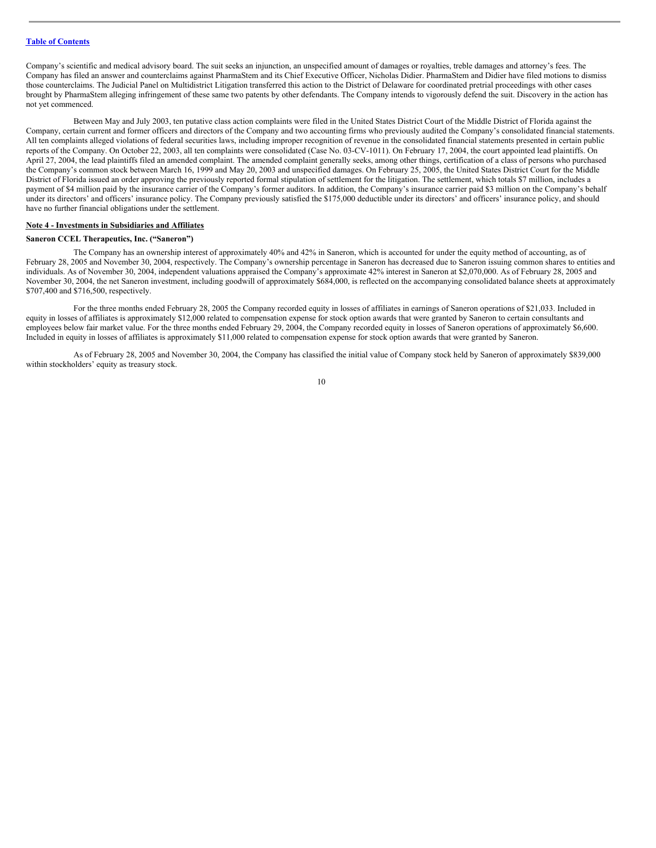Company's scientific and medical advisory board. The suit seeks an injunction, an unspecified amount of damages or royalties, treble damages and attorney's fees. The Company has filed an answer and counterclaims against PharmaStem and its Chief Executive Officer, Nicholas Didier. PharmaStem and Didier have filed motions to dismiss those counterclaims. The Judicial Panel on Multidistrict Litigation transferred this action to the District of Delaware for coordinated pretrial proceedings with other cases brought by PharmaStem alleging infringement of these same two patents by other defendants. The Company intends to vigorously defend the suit. Discovery in the action has not yet commenced.

Between May and July 2003, ten putative class action complaints were filed in the United States District Court of the Middle District of Florida against the Company, certain current and former officers and directors of the Company and two accounting firms who previously audited the Company's consolidated financial statements. All ten complaints alleged violations of federal securities laws, including improper recognition of revenue in the consolidated financial statements presented in certain public reports of the Company. On October 22, 2003, all ten complaints were consolidated (Case No. 03-CV-1011). On February 17, 2004, the court appointed lead plaintiffs. On April 27, 2004, the lead plaintiffs filed an amended complaint. The amended complaint generally seeks, among other things, certification of a class of persons who purchased the Company's common stock between March 16, 1999 and May 20, 2003 and unspecified damages. On February 25, 2005, the United States District Court for the Middle District of Florida issued an order approving the previously reported formal stipulation of settlement for the litigation. The settlement, which totals \$7 million, includes a payment of \$4 million paid by the insurance carrier of the Company's former auditors. In addition, the Company's insurance carrier paid \$3 million on the Company's behalf under its directors' and officers' insurance policy. The Company previously satisfied the \$175,000 deductible under its directors' and officers' insurance policy, and should have no further financial obligations under the settlement.

#### **Note 4 - Investments in Subsidiaries and Affiliates**

#### **Saneron CCEL Therapeutics, Inc. ("Saneron")**

The Company has an ownership interest of approximately 40% and 42% in Saneron, which is accounted for under the equity method of accounting, as of February 28, 2005 and November 30, 2004, respectively. The Company's ownership percentage in Saneron has decreased due to Saneron issuing common shares to entities and individuals. As of November 30, 2004, independent valuations appraised the Company's approximate 42% interest in Saneron at \$2,070,000. As of February 28, 2005 and November 30, 2004, the net Saneron investment, including goodwill of approximately \$684,000, is reflected on the accompanying consolidated balance sheets at approximately \$707,400 and \$716,500, respectively.

For the three months ended February 28, 2005 the Company recorded equity in losses of affiliates in earnings of Saneron operations of \$21,033. Included in equity in losses of affiliates is approximately \$12,000 related to compensation expense for stock option awards that were granted by Saneron to certain consultants and employees below fair market value. For the three months ended February 29, 2004, the Company recorded equity in losses of Saneron operations of approximately \$6,600. Included in equity in losses of affiliates is approximately \$11,000 related to compensation expense for stock option awards that were granted by Saneron.

As of February 28, 2005 and November 30, 2004, the Company has classified the initial value of Company stock held by Saneron of approximately \$839,000 within stockholders' equity as treasury stock.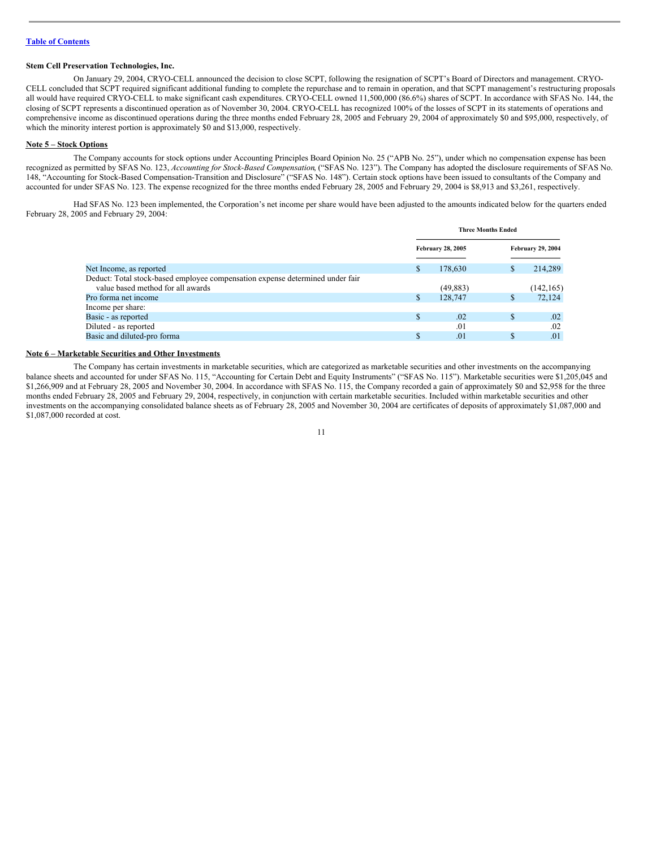#### **Stem Cell Preservation Technologies, Inc.**

On January 29, 2004, CRYO-CELL announced the decision to close SCPT, following the resignation of SCPT's Board of Directors and management. CRYO-CELL concluded that SCPT required significant additional funding to complete the repurchase and to remain in operation, and that SCPT management's restructuring proposals all would have required CRYO-CELL to make significant cash expenditures. CRYO-CELL owned 11,500,000 (86.6%) shares of SCPT. In accordance with SFAS No. 144, the closing of SCPT represents a discontinued operation as of November 30, 2004. CRYO-CELL has recognized 100% of the losses of SCPT in its statements of operations and comprehensive income as discontinued operations during the three months ended February 28, 2005 and February 29, 2004 of approximately \$0 and \$95,000, respectively, of which the minority interest portion is approximately \$0 and \$13,000, respectively.

#### **Note 5 – Stock Options**

The Company accounts for stock options under Accounting Principles Board Opinion No. 25 ("APB No. 25"), under which no compensation expense has been recognized as permitted by SFAS No. 123, *Accounting for Stock-Based Compensation*, ("SFAS No. 123"). The Company has adopted the disclosure requirements of SFAS No. 148, "Accounting for Stock-Based Compensation-Transition and Disclosure" ("SFAS No. 148"). Certain stock options have been issued to consultants of the Company and accounted for under SFAS No. 123. The expense recognized for the three months ended February 28, 2005 and February 29, 2004 is \$8,913 and \$3,261, respectively.

Had SFAS No. 123 been implemented, the Corporation's net income per share would have been adjusted to the amounts indicated below for the quarters ended February 28, 2005 and February 29, 2004:

|                                                                               | <b>Three Months Ended</b> |                          |   |                          |
|-------------------------------------------------------------------------------|---------------------------|--------------------------|---|--------------------------|
|                                                                               |                           | <b>February 28, 2005</b> |   | <b>February 29, 2004</b> |
| Net Income, as reported                                                       | S                         | 178,630                  |   | 214,289                  |
| Deduct: Total stock-based employee compensation expense determined under fair |                           |                          |   |                          |
| value based method for all awards                                             |                           | (49, 883)                |   | (142, 165)               |
| Pro forma net income                                                          | S                         | 128,747                  | ъ | 72,124                   |
| Income per share:                                                             |                           |                          |   |                          |
| Basic - as reported                                                           | S                         | .02                      |   | .02                      |
| Diluted - as reported                                                         |                           | .01                      |   | .02                      |
| Basic and diluted-pro forma                                                   | S                         | .01                      |   | .01                      |

#### **Note 6 – Marketable Securities and Other Investments**

The Company has certain investments in marketable securities, which are categorized as marketable securities and other investments on the accompanying balance sheets and accounted for under SFAS No. 115, "Accounting for Certain Debt and Equity Instruments" ("SFAS No. 115"). Marketable securities were \$1,205,045 and \$1,266,909 and at February 28, 2005 and November 30, 2004. In accordance with SFAS No. 115, the Company recorded a gain of approximately \$0 and \$2,958 for the three months ended February 28, 2005 and February 29, 2004, respectively, in conjunction with certain marketable securities. Included within marketable securities and other investments on the accompanying consolidated balance sheets as of February 28, 2005 and November 30, 2004 are certificates of deposits of approximately \$1,087,000 and \$1,087,000 recorded at cost.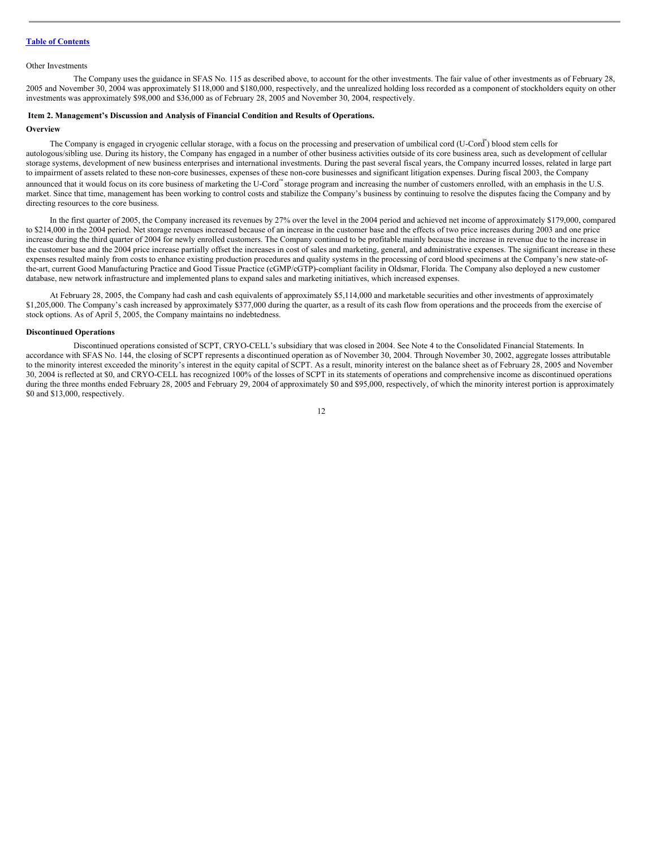#### Other Investments

The Company uses the guidance in SFAS No. 115 as described above, to account for the other investments. The fair value of other investments as of February 28, 2005 and November 30, 2004 was approximately \$118,000 and \$180,000, respectively, and the unrealized holding loss recorded as a component of stockholders equity on other investments was approximately \$98,000 and \$36,000 as of February 28, 2005 and November 30, 2004, respectively.

#### <span id="page-11-0"></span>**Item 2. Management's Discussion and Analysis of Financial Condition and Results of Operations. Overview**

The Company is engaged in cryogenic cellular storage, with a focus on the processing and preservation of umbilical cord (U-Cord ™ ) blood stem cells for autologous/sibling use. During its history, the Company has engaged in a number of other business activities outside of its core business area, such as development of cellular storage systems, development of new business enterprises and international investments. During the past several fiscal years, the Company incurred losses, related in large part to impairment of assets related to these non-core businesses, expenses of these non-core businesses and significant litigation expenses. During fiscal 2003, the Company announced that it would focus on its core business of marketing the U-Cord<sup>"</sup> storage program and increasing the number of customers enrolled, with an emphasis in the U.S. market. Since that time, management has been working to control costs and stabilize the Company's business by continuing to resolve the disputes facing the Company and by directing resources to the core business.

In the first quarter of 2005, the Company increased its revenues by 27% over the level in the 2004 period and achieved net income of approximately \$179,000, compared to \$214,000 in the 2004 period. Net storage revenues increased because of an increase in the customer base and the effects of two price increases during 2003 and one price increase during the third quarter of 2004 for newly enrolled customers. The Company continued to be profitable mainly because the increase in revenue due to the increase in the customer base and the 2004 price increase partially offset the increases in cost of sales and marketing, general, and administrative expenses. The significant increase in these expenses resulted mainly from costs to enhance existing production procedures and quality systems in the processing of cord blood specimens at the Company's new state-ofthe-art, current Good Manufacturing Practice and Good Tissue Practice (cGMP/cGTP)-compliant facility in Oldsmar, Florida. The Company also deployed a new customer database, new network infrastructure and implemented plans to expand sales and marketing initiatives, which increased expenses.

At February 28, 2005, the Company had cash and cash equivalents of approximately \$5,114,000 and marketable securities and other investments of approximately \$1,205,000. The Company's cash increased by approximately \$377,000 during the quarter, as a result of its cash flow from operations and the proceeds from the exercise of stock options. As of April 5, 2005, the Company maintains no indebtedness.

#### **Discontinued Operations**

Discontinued operations consisted of SCPT, CRYO-CELL's subsidiary that was closed in 2004. See Note 4 to the Consolidated Financial Statements. In accordance with SFAS No. 144, the closing of SCPT represents a discontinued operation as of November 30, 2004. Through November 30, 2002, aggregate losses attributable to the minority interest exceeded the minority's interest in the equity capital of SCPT. As a result, minority interest on the balance sheet as of February 28, 2005 and November 30, 2004 is reflected at \$0, and CRYO-CELL has recognized 100% of the losses of SCPT in its statements of operations and comprehensive income as discontinued operations during the three months ended February 28, 2005 and February 29, 2004 of approximately \$0 and \$95,000, respectively, of which the minority interest portion is approximately \$0 and \$13,000, respectively.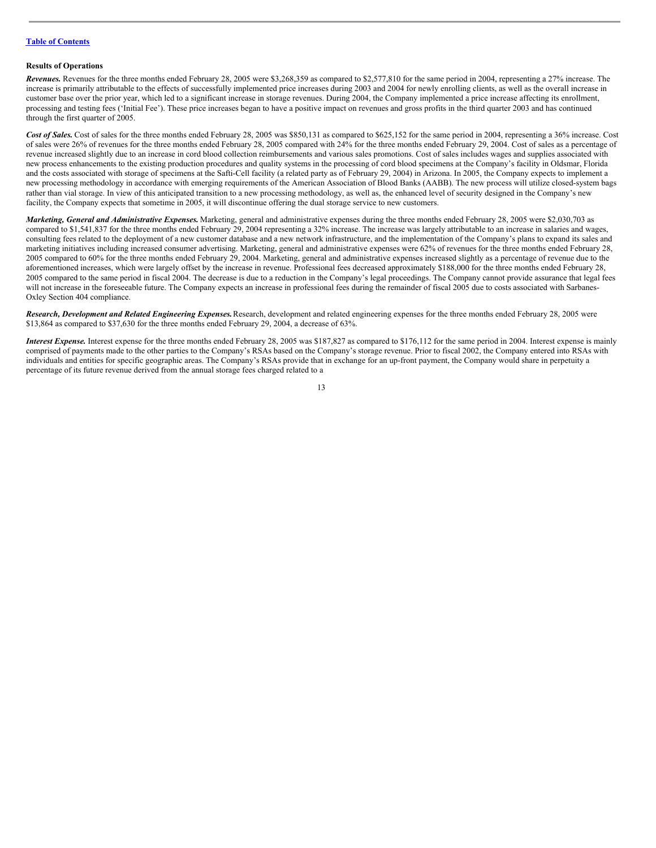#### **Results of Operations**

*Revenues.* Revenues for the three months ended February 28, 2005 were \$3,268,359 as compared to \$2,577,810 for the same period in 2004, representing a 27% increase. The increase is primarily attributable to the effects of successfully implemented price increases during 2003 and 2004 for newly enrolling clients, as well as the overall increase in customer base over the prior year, which led to a significant increase in storage revenues. During 2004, the Company implemented a price increase affecting its enrollment, processing and testing fees ('Initial Fee'). These price increases began to have a positive impact on revenues and gross profits in the third quarter 2003 and has continued through the first quarter of 2005.

Cost of Sales. Cost of sales for the three months ended February 28, 2005 was \$850,131 as compared to \$625,152 for the same period in 2004, representing a 36% increase. Cost of sales were 26% of revenues for the three months ended February 28, 2005 compared with 24% for the three months ended February 29, 2004. Cost of sales as a percentage of revenue increased slightly due to an increase in cord blood collection reimbursements and various sales promotions. Cost of sales includes wages and supplies associated with new process enhancements to the existing production procedures and quality systems in the processing of cord blood specimens at the Company's facility in Oldsmar, Florida and the costs associated with storage of specimens at the Safti-Cell facility (a related party as of February 29, 2004) in Arizona. In 2005, the Company expects to implement a new processing methodology in accordance with emerging requirements of the American Association of Blood Banks (AABB). The new process will utilize closed-system bags rather than vial storage. In view of this anticipated transition to a new processing methodology, as well as, the enhanced level of security designed in the Company's new facility, the Company expects that sometime in 2005, it will discontinue offering the dual storage service to new customers.

*Marketing, General and Administrative Expenses.* Marketing, general and administrative expenses during the three months ended February 28, 2005 were \$2,030,703 as compared to \$1,541,837 for the three months ended February 29, 2004 representing a 32% increase. The increase was largely attributable to an increase in salaries and wages, consulting fees related to the deployment of a new customer database and a new network infrastructure, and the implementation of the Company's plans to expand its sales and marketing initiatives including increased consumer advertising. Marketing, general and administrative expenses were 62% of revenues for the three months ended February 28, 2005 compared to 60% for the three months ended February 29, 2004. Marketing, general and administrative expenses increased slightly as a percentage of revenue due to the aforementioned increases, which were largely offset by the increase in revenue. Professional fees decreased approximately \$188,000 for the three months ended February 28, 2005 compared to the same period in fiscal 2004. The decrease is due to a reduction in the Company's legal proceedings. The Company cannot provide assurance that legal fees will not increase in the foreseeable future. The Company expects an increase in professional fees during the remainder of fiscal 2005 due to costs associated with Sarbanes-Oxley Section 404 compliance.

*Research, Development and Related Engineering Expenses.*Research, development and related engineering expenses for the three months ended February 28, 2005 were \$13,864 as compared to \$37,630 for the three months ended February 29, 2004, a decrease of 63%.

*Interest Expense.* Interest expense for the three months ended February 28, 2005 was \$187,827 as compared to \$176,112 for the same period in 2004. Interest expense is mainly comprised of payments made to the other parties to the Company's RSAs based on the Company's storage revenue. Prior to fiscal 2002, the Company entered into RSAs with individuals and entities for specific geographic areas. The Company's RSAs provide that in exchange for an up-front payment, the Company would share in perpetuity a percentage of its future revenue derived from the annual storage fees charged related to a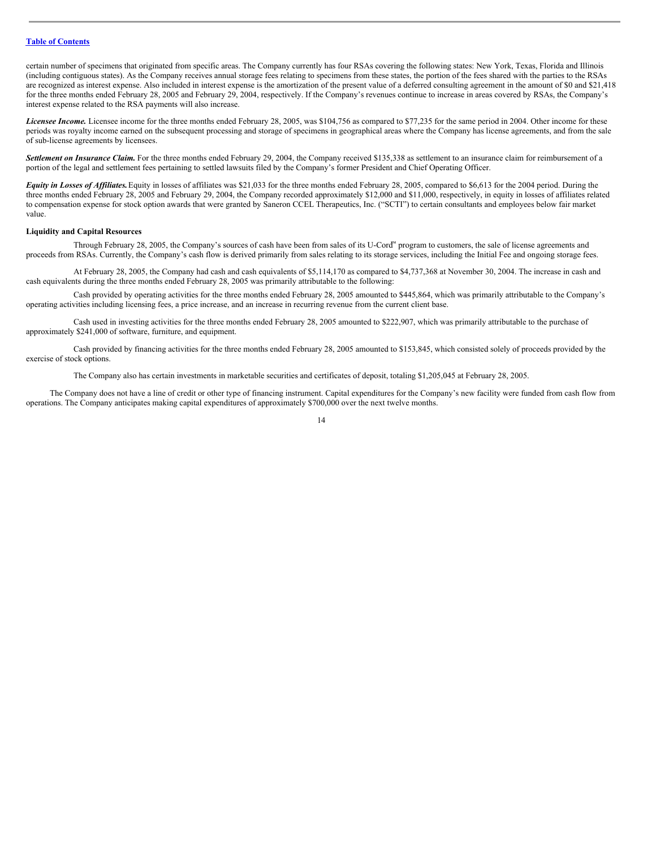certain number of specimens that originated from specific areas. The Company currently has four RSAs covering the following states: New York, Texas, Florida and Illinois (including contiguous states). As the Company receives annual storage fees relating to specimens from these states, the portion of the fees shared with the parties to the RSAs are recognized as interest expense. Also included in interest expense is the amortization of the present value of a deferred consulting agreement in the amount of \$0 and \$21,418 for the three months ended February 28, 2005 and February 29, 2004, respectively. If the Company's revenues continue to increase in areas covered by RSAs, the Company's interest expense related to the RSA payments will also increase.

*Licensee Income.* Licensee income for the three months ended February 28, 2005, was \$104,756 as compared to \$77,235 for the same period in 2004. Other income for these periods was royalty income earned on the subsequent processing and storage of specimens in geographical areas where the Company has license agreements, and from the sale of sub-license agreements by licensees.

Settlement on Insurance Claim. For the three months ended February 29, 2004, the Company received \$135,338 as settlement to an insurance claim for reimbursement of a portion of the legal and settlement fees pertaining to settled lawsuits filed by the Company's former President and Chief Operating Officer.

*Equity in Losses of Affiliates*. Equity in losses of affiliates was \$21,033 for the three months ended February 28, 2005, compared to \$6,613 for the 2004 period. During the three months ended February 28, 2005 and February 29, 2004, the Company recorded approximately \$12,000 and \$11,000, respectively, in equity in losses of affiliates related to compensation expense for stock option awards that were granted by Saneron CCEL Therapeutics, Inc. ("SCTI") to certain consultants and employees below fair market value.

#### **Liquidity and Capital Resources**

Through February 28, 2005, the Company's sources of cash have been from sales of its U-Cord™ program to customers, the sale of license agreements and proceeds from RSAs. Currently, the Company's cash flow is derived primarily from sales relating to its storage services, including the Initial Fee and ongoing storage fees.

At February 28, 2005, the Company had cash and cash equivalents of \$5,114,170 as compared to \$4,737,368 at November 30, 2004. The increase in cash and cash equivalents during the three months ended February 28, 2005 was primarily attributable to the following:

Cash provided by operating activities for the three months ended February 28, 2005 amounted to \$445,864, which was primarily attributable to the Company's operating activities including licensing fees, a price increase, and an increase in recurring revenue from the current client base.

Cash used in investing activities for the three months ended February 28, 2005 amounted to \$222,907, which was primarily attributable to the purchase of approximately \$241,000 of software, furniture, and equipment.

Cash provided by financing activities for the three months ended February 28, 2005 amounted to \$153,845, which consisted solely of proceeds provided by the exercise of stock options.

The Company also has certain investments in marketable securities and certificates of deposit, totaling \$1,205,045 at February 28, 2005.

The Company does not have a line of credit or other type of financing instrument. Capital expenditures for the Company's new facility were funded from cash flow from operations. The Company anticipates making capital expenditures of approximately \$700,000 over the next twelve months.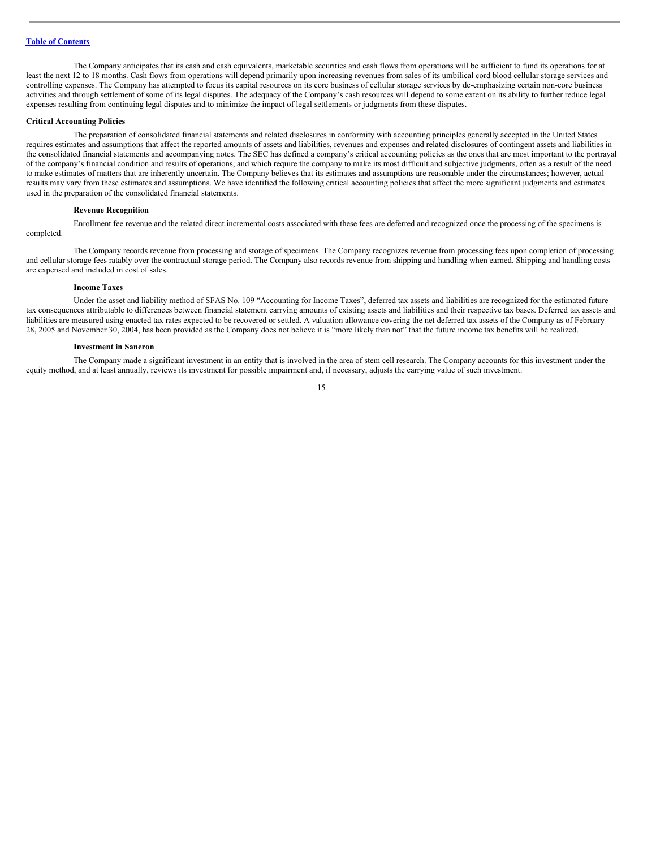The Company anticipates that its cash and cash equivalents, marketable securities and cash flows from operations will be sufficient to fund its operations for at least the next 12 to 18 months. Cash flows from operations will depend primarily upon increasing revenues from sales of its umbilical cord blood cellular storage services and controlling expenses. The Company has attempted to focus its capital resources on its core business of cellular storage services by de-emphasizing certain non-core business activities and through settlement of some of its legal disputes. The adequacy of the Company's cash resources will depend to some extent on its ability to further reduce legal expenses resulting from continuing legal disputes and to minimize the impact of legal settlements or judgments from these disputes.

#### **Critical Accounting Policies**

The preparation of consolidated financial statements and related disclosures in conformity with accounting principles generally accepted in the United States requires estimates and assumptions that affect the reported amounts of assets and liabilities, revenues and expenses and related disclosures of contingent assets and liabilities in the consolidated financial statements and accompanying notes. The SEC has defined a company's critical accounting policies as the ones that are most important to the portrayal of the company's financial condition and results of operations, and which require the company to make its most difficult and subjective judgments, often as a result of the need to make estimates of matters that are inherently uncertain. The Company believes that its estimates and assumptions are reasonable under the circumstances; however, actual results may vary from these estimates and assumptions. We have identified the following critical accounting policies that affect the more significant judgments and estimates used in the preparation of the consolidated financial statements.

#### **Revenue Recognition**

Enrollment fee revenue and the related direct incremental costs associated with these fees are deferred and recognized once the processing of the specimens is completed.

The Company records revenue from processing and storage of specimens. The Company recognizes revenue from processing fees upon completion of processing and cellular storage fees ratably over the contractual storage period. The Company also records revenue from shipping and handling when earned. Shipping and handling costs are expensed and included in cost of sales.

#### **Income Taxes**

Under the asset and liability method of SFAS No. 109 "Accounting for Income Taxes", deferred tax assets and liabilities are recognized for the estimated future tax consequences attributable to differences between financial statement carrying amounts of existing assets and liabilities and their respective tax bases. Deferred tax assets and liabilities are measured using enacted tax rates expected to be recovered or settled. A valuation allowance covering the net deferred tax assets of the Company as of February 28, 2005 and November 30, 2004, has been provided as the Company does not believe it is "more likely than not" that the future income tax benefits will be realized.

#### **Investment in Saneron**

The Company made a significant investment in an entity that is involved in the area of stem cell research. The Company accounts for this investment under the equity method, and at least annually, reviews its investment for possible impairment and, if necessary, adjusts the carrying value of such investment.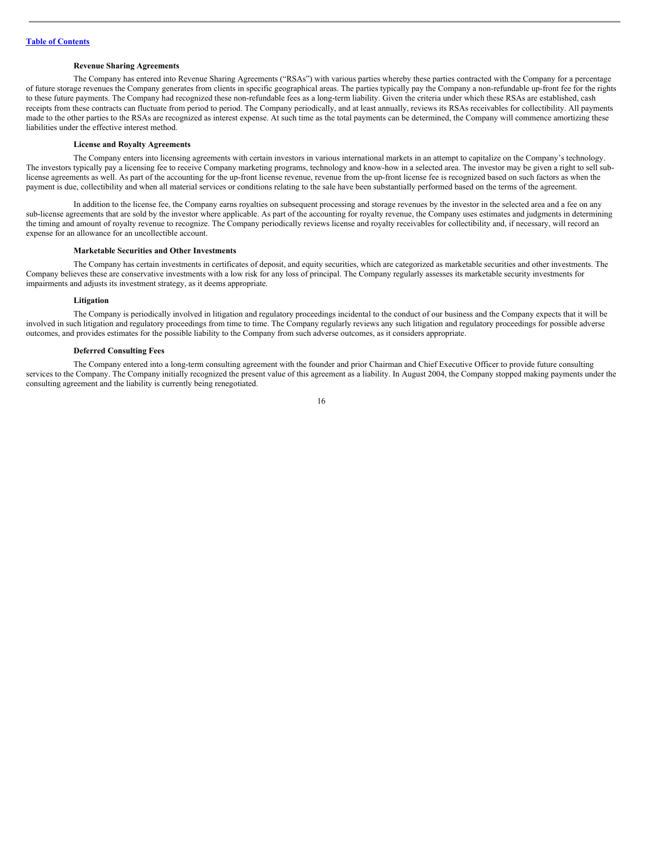#### **Revenue Sharing Agreements**

The Company has entered into Revenue Sharing Agreements ("RSAs") with various parties whereby these parties contracted with the Company for a percentage of future storage revenues the Company generates from clients in specific geographical areas. The parties typically pay the Company a non-refundable up-front fee for the rights to these future payments. The Company had recognized these non-refundable fees as a long-term liability. Given the criteria under which these RSAs are established, cash receipts from these contracts can fluctuate from period to period. The Company periodically, and at least annually, reviews its RSAs receivables for collectibility. All payments made to the other parties to the RSAs are recognized as interest expense. At such time as the total payments can be determined, the Company will commence amortizing these liabilities under the effective interest method.

#### **License and Royalty Agreements**

The Company enters into licensing agreements with certain investors in various international markets in an attempt to capitalize on the Company's technology. The investors typically pay a licensing fee to receive Company marketing programs, technology and know-how in a selected area. The investor may be given a right to sell sublicense agreements as well. As part of the accounting for the up-front license revenue, revenue from the up-front license fee is recognized based on such factors as when the payment is due, collectibility and when all material services or conditions relating to the sale have been substantially performed based on the terms of the agreement.

In addition to the license fee, the Company earns royalties on subsequent processing and storage revenues by the investor in the selected area and a fee on any sub-license agreements that are sold by the investor where applicable. As part of the accounting for royalty revenue, the Company uses estimates and judgments in determining the timing and amount of royalty revenue to recognize. The Company periodically reviews license and royalty receivables for collectibility and, if necessary, will record an expense for an allowance for an uncollectible account.

#### **Marketable Securities and Other Investments**

The Company has certain investments in certificates of deposit, and equity securities, which are categorized as marketable securities and other investments. The Company believes these are conservative investments with a low risk for any loss of principal. The Company regularly assesses its marketable security investments for impairments and adjusts its investment strategy, as it deems appropriate.

#### **Litigation**

The Company is periodically involved in litigation and regulatory proceedings incidental to the conduct of our business and the Company expects that it will be involved in such litigation and regulatory proceedings from time to time. The Company regularly reviews any such litigation and regulatory proceedings for possible adverse outcomes, and provides estimates for the possible liability to the Company from such adverse outcomes, as it considers appropriate.

#### **Deferred Consulting Fees**

The Company entered into a long-term consulting agreement with the founder and prior Chairman and Chief Executive Officer to provide future consulting services to the Company. The Company initially recognized the present value of this agreement as a liability. In August 2004, the Company stopped making payments under the consulting agreement and the liability is currently being renegotiated.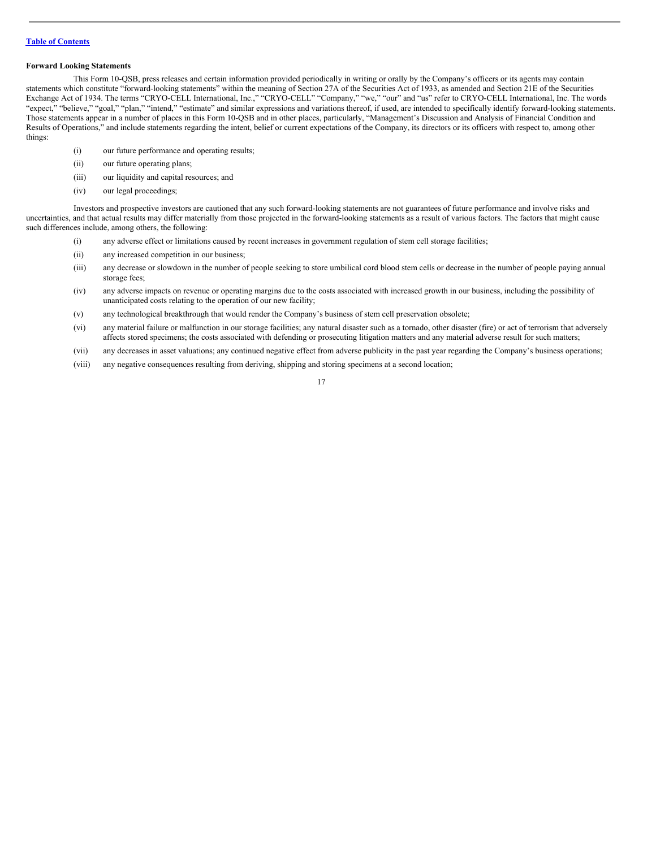#### **Forward Looking Statements**

This Form 10-QSB, press releases and certain information provided periodically in writing or orally by the Company's officers or its agents may contain statements which constitute "forward-looking statements" within the meaning of Section 27A of the Securities Act of 1933, as amended and Section 21E of the Securities Exchange Act of 1934. The terms "CRYO-CELL International, Inc.," "CRYO-CELL" "Company," "we," "our" and "us" refer to CRYO-CELL International, Inc. The words "expect," "believe," "goal," "plan," "intend," "estimate" and similar expressions and variations thereof, if used, are intended to specifically identify forward-looking statements. Those statements appear in a number of places in this Form 10-QSB and in other places, particularly, "Management's Discussion and Analysis of Financial Condition and Results of Operations," and include statements regarding the intent, belief or current expectations of the Company, its directors or its officers with respect to, among other things:

- (i) our future performance and operating results;
- (ii) our future operating plans;
- (iii) our liquidity and capital resources; and
- (iv) our legal proceedings;

Investors and prospective investors are cautioned that any such forward-looking statements are not guarantees of future performance and involve risks and uncertainties, and that actual results may differ materially from those projected in the forward-looking statements as a result of various factors. The factors that might cause such differences include, among others, the following:

- (i) any adverse effect or limitations caused by recent increases in government regulation of stem cell storage facilities;
- (ii) any increased competition in our business;
- (iii) any decrease or slowdown in the number of people seeking to store umbilical cord blood stem cells or decrease in the number of people paying annual storage fees;
- (iv) any adverse impacts on revenue or operating margins due to the costs associated with increased growth in our business, including the possibility of unanticipated costs relating to the operation of our new facility;
- (v) any technological breakthrough that would render the Company's business of stem cell preservation obsolete;
- (vi) any material failure or malfunction in our storage facilities; any natural disaster such as a tornado, other disaster (fire) or act of terrorism that adversely affects stored specimens; the costs associated with defending or prosecuting litigation matters and any material adverse result for such matters;
- (vii) any decreases in asset valuations; any continued negative effect from adverse publicity in the past year regarding the Company's business operations;
- (viii) any negative consequences resulting from deriving, shipping and storing specimens at a second location;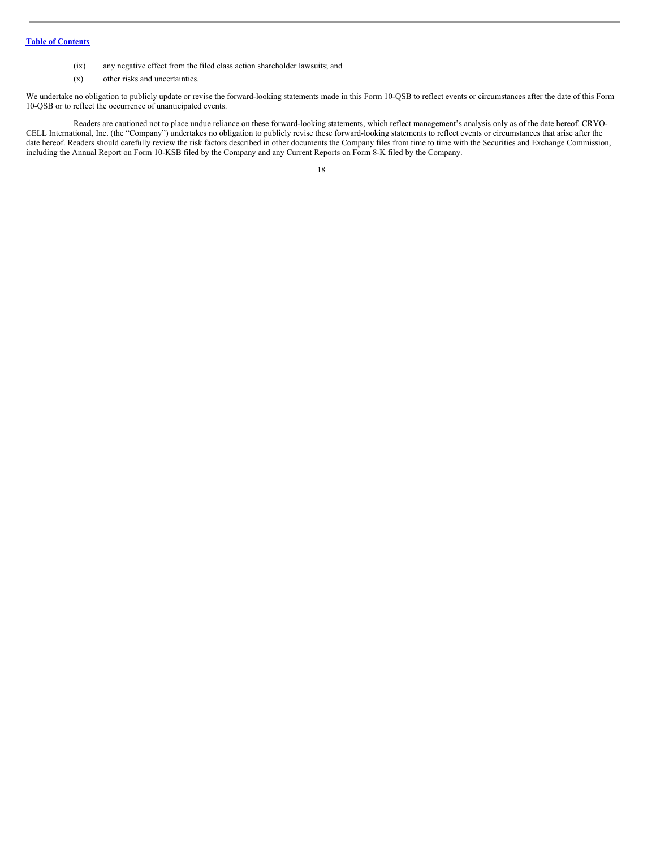- (ix) any negative effect from the filed class action shareholder lawsuits; and
- (x) other risks and uncertainties.

We undertake no obligation to publicly update or revise the forward-looking statements made in this Form 10-QSB to reflect events or circumstances after the date of this Form 10-QSB or to reflect the occurrence of unanticipated events.

Readers are cautioned not to place undue reliance on these forward-looking statements, which reflect management's analysis only as of the date hereof. CRYO-CELL International, Inc. (the "Company") undertakes no obligation to publicly revise these forward-looking statements to reflect events or circumstances that arise after the date hereof. Readers should carefully review the risk factors described in other documents the Company files from time to time with the Securities and Exchange Commission, including the Annual Report on Form 10-KSB filed by the Company and any Current Reports on Form 8-K filed by the Company.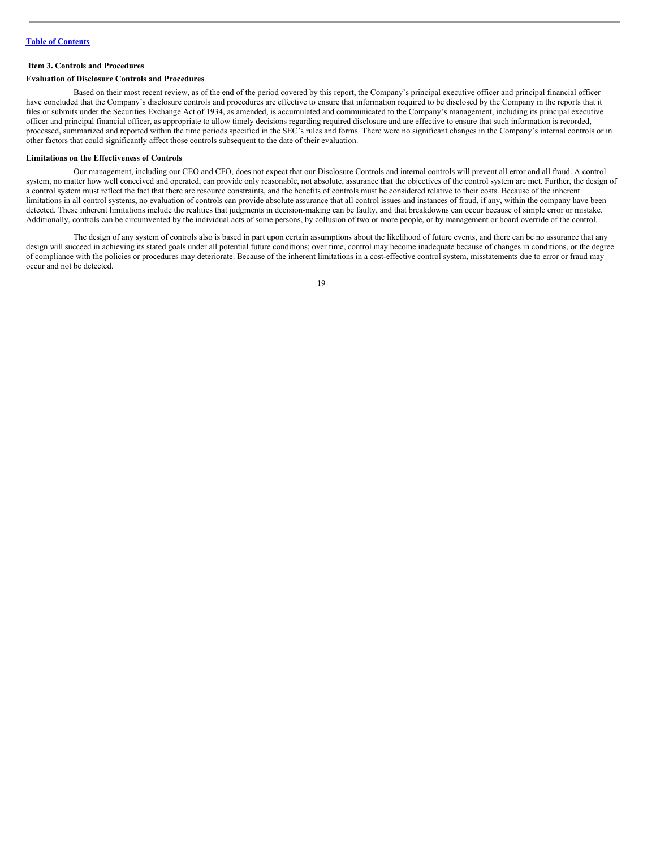#### <span id="page-18-0"></span>**Item 3. Controls and Procedures**

#### **Evaluation of Disclosure Controls and Procedures**

Based on their most recent review, as of the end of the period covered by this report, the Company's principal executive officer and principal financial officer have concluded that the Company's disclosure controls and procedures are effective to ensure that information required to be disclosed by the Company in the reports that it files or submits under the Securities Exchange Act of 1934, as amended, is accumulated and communicated to the Company's management, including its principal executive officer and principal financial officer, as appropriate to allow timely decisions regarding required disclosure and are effective to ensure that such information is recorded, processed, summarized and reported within the time periods specified in the SEC's rules and forms. There were no significant changes in the Company's internal controls or in other factors that could significantly affect those controls subsequent to the date of their evaluation.

#### **Limitations on the Effectiveness of Controls**

Our management, including our CEO and CFO, does not expect that our Disclosure Controls and internal controls will prevent all error and all fraud. A control system, no matter how well conceived and operated, can provide only reasonable, not absolute, assurance that the objectives of the control system are met. Further, the design of a control system must reflect the fact that there are resource constraints, and the benefits of controls must be considered relative to their costs. Because of the inherent limitations in all control systems, no evaluation of controls can provide absolute assurance that all control issues and instances of fraud, if any, within the company have been detected. These inherent limitations include the realities that judgments in decision-making can be faulty, and that breakdowns can occur because of simple error or mistake. Additionally, controls can be circumvented by the individual acts of some persons, by collusion of two or more people, or by management or board override of the control.

The design of any system of controls also is based in part upon certain assumptions about the likelihood of future events, and there can be no assurance that any design will succeed in achieving its stated goals under all potential future conditions; over time, control may become inadequate because of changes in conditions, or the degree of compliance with the policies or procedures may deteriorate. Because of the inherent limitations in a cost-effective control system, misstatements due to error or fraud may occur and not be detected.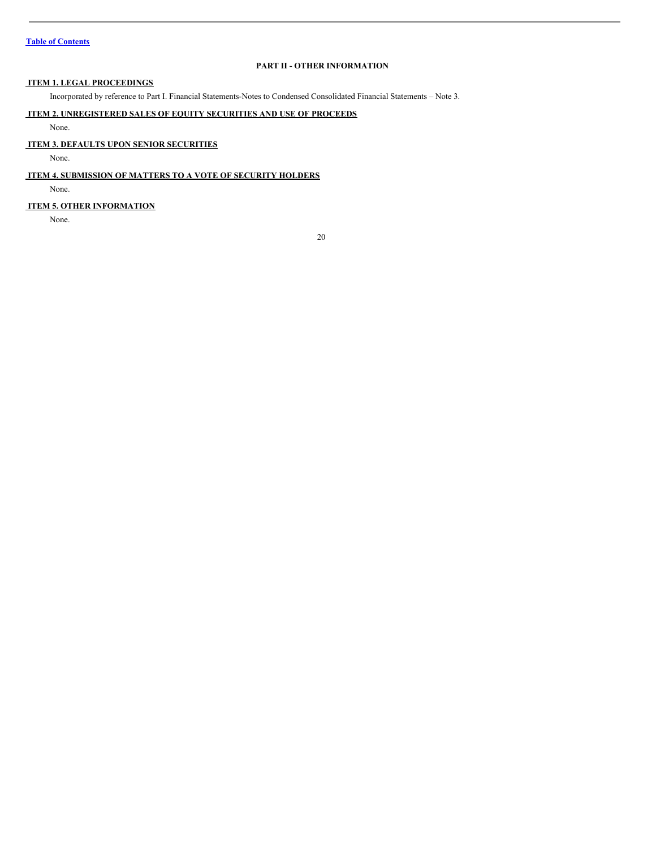## <span id="page-19-0"></span>**PART II - OTHER INFORMATION**

## <span id="page-19-1"></span>**ITEM 1. LEGAL PROCEEDINGS**

Incorporated by reference to Part I. Financial Statements-Notes to Condensed Consolidated Financial Statements – Note 3.

### <span id="page-19-2"></span>**ITEM 2. UNREGISTERED SALES OF EQUITY SECURITIES AND USE OF PROCEEDS**

None.

### <span id="page-19-3"></span>**ITEM 3. DEFAULTS UPON SENIOR SECURITIES**

None.

## <span id="page-19-4"></span>**ITEM 4. SUBMISSION OF MATTERS TO A VOTE OF SECURITY HOLDERS**

None.

## <span id="page-19-5"></span>**ITEM 5. OTHER INFORMATION**

None.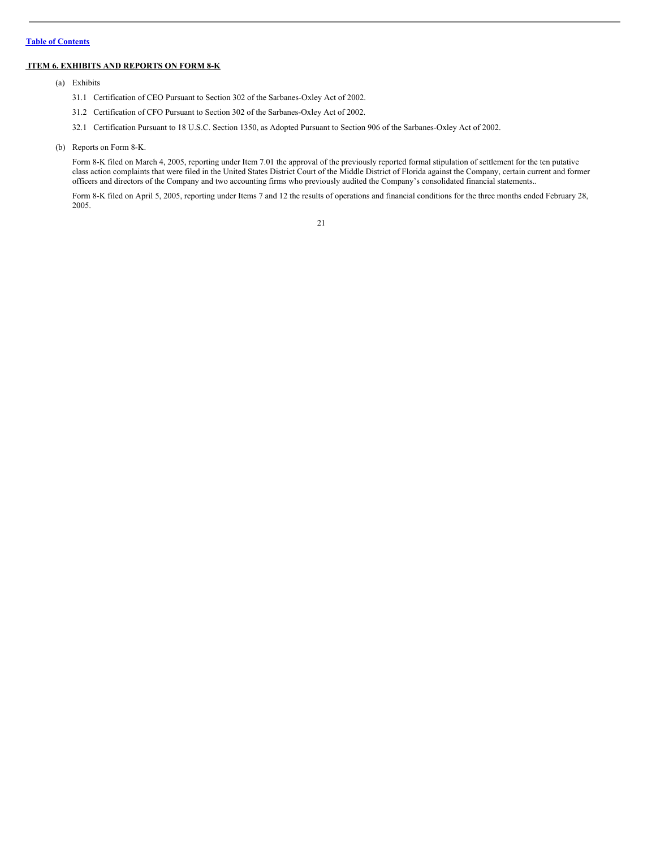## <span id="page-20-0"></span>**ITEM 6. EXHIBITS AND REPORTS ON FORM 8-K**

- (a) Exhibits
	- 31.1 Certification of CEO Pursuant to Section 302 of the Sarbanes-Oxley Act of 2002.
	- 31.2 Certification of CFO Pursuant to Section 302 of the Sarbanes-Oxley Act of 2002.
	- 32.1 Certification Pursuant to 18 U.S.C. Section 1350, as Adopted Pursuant to Section 906 of the Sarbanes-Oxley Act of 2002.
- (b) Reports on Form 8-K.

Form 8-K filed on March 4, 2005, reporting under Item 7.01 the approval of the previously reported formal stipulation of settlement for the ten putative class action complaints that were filed in the United States District Court of the Middle District of Florida against the Company, certain current and former officers and directors of the Company and two accounting firms who previously audited the Company's consolidated financial statements..

Form 8-K filed on April 5, 2005, reporting under Items 7 and 12 the results of operations and financial conditions for the three months ended February 28, 2005.

| ł |  |
|---|--|
|   |  |
|   |  |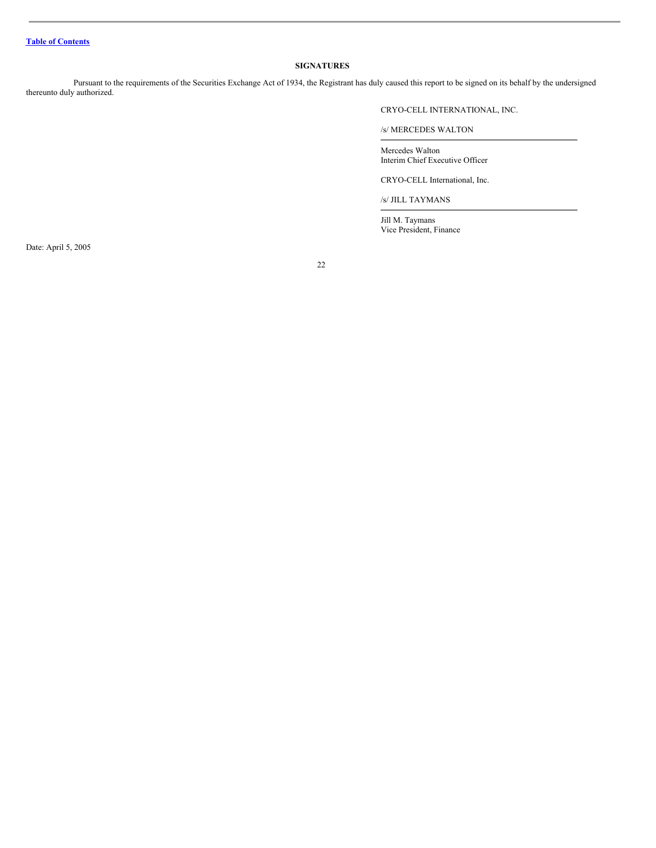#### <span id="page-21-0"></span>**SIGNATURES**

Pursuant to the requirements of the Securities Exchange Act of 1934, the Registrant has duly caused this report to be signed on its behalf by the undersigned thereunto duly authorized.

CRYO-CELL INTERNATIONAL, INC.

/s/ MERCEDES WALTON

Mercedes Walton Interim Chief Executive Officer

CRYO-CELL International, Inc.

/s/ JILL TAYMANS

Jill M. Taymans Vice President, Finance

Date: April 5, 2005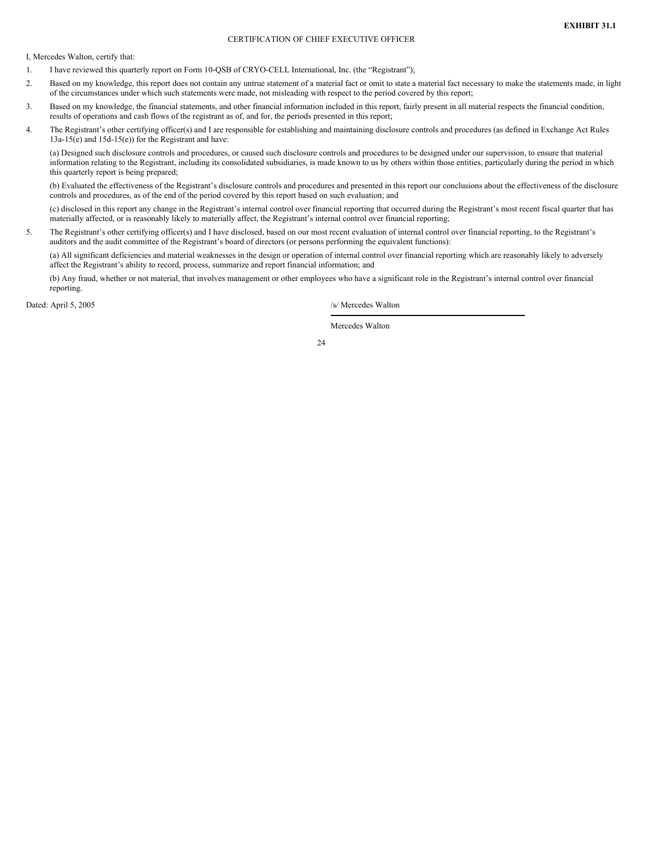#### CERTIFICATION OF CHIEF EXECUTIVE OFFICER

I, Mercedes Walton, certify that:

- 1. I have reviewed this quarterly report on Form 10-QSB of CRYO-CELL International, Inc. (the "Registrant");
- 2. Based on my knowledge, this report does not contain any untrue statement of a material fact or omit to state a material fact necessary to make the statements made, in light of the circumstances under which such statements were made, not misleading with respect to the period covered by this report;
- 3. Based on my knowledge, the financial statements, and other financial information included in this report, fairly present in all material respects the financial condition, results of operations and cash flows of the registrant as of, and for, the periods presented in this report;
- 4. The Registrant's other certifying officer(s) and I are responsible for establishing and maintaining disclosure controls and procedures (as defined in Exchange Act Rules 13a-15(e) and 15d-15(e)) for the Registrant and have:

(a) Designed such disclosure controls and procedures, or caused such disclosure controls and procedures to be designed under our supervision, to ensure that material information relating to the Registrant, including its consolidated subsidiaries, is made known to us by others within those entities, particularly during the period in which this quarterly report is being prepared;

(b) Evaluated the effectiveness of the Registrant's disclosure controls and procedures and presented in this report our conclusions about the effectiveness of the disclosure controls and procedures, as of the end of the period covered by this report based on such evaluation; and

(c) disclosed in this report any change in the Registrant's internal control over financial reporting that occurred during the Registrant's most recent fiscal quarter that has materially affected, or is reasonably likely to materially affect, the Registrant's internal control over financial reporting;

5. The Registrant's other certifying officer(s) and I have disclosed, based on our most recent evaluation of internal control over financial reporting, to the Registrant's auditors and the audit committee of the Registrant's board of directors (or persons performing the equivalent functions):

(a) All significant deficiencies and material weaknesses in the design or operation of internal control over financial reporting which are reasonably likely to adversely affect the Registrant's ability to record, process, summarize and report financial information; and

(b) Any fraud, whether or not material, that involves management or other employees who have a significant role in the Registrant's internal control over financial reporting.

Dated: April 5, 2005 /s/ Mercedes Walton

Mercedes Walton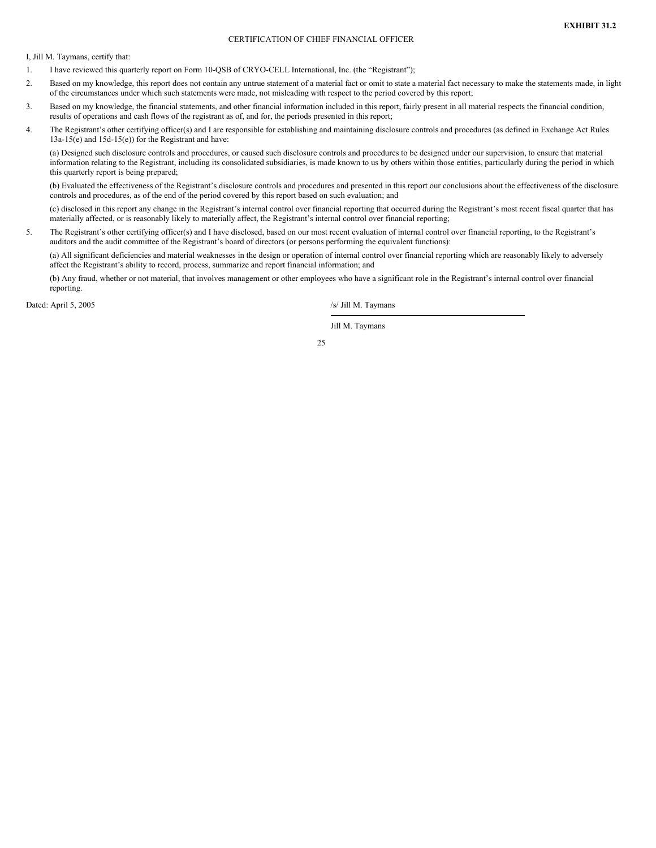#### CERTIFICATION OF CHIEF FINANCIAL OFFICER

I, Jill M. Taymans, certify that:

- 1. I have reviewed this quarterly report on Form 10-QSB of CRYO-CELL International, Inc. (the "Registrant");
- 2. Based on my knowledge, this report does not contain any untrue statement of a material fact or omit to state a material fact necessary to make the statements made, in light of the circumstances under which such statements were made, not misleading with respect to the period covered by this report;
- 3. Based on my knowledge, the financial statements, and other financial information included in this report, fairly present in all material respects the financial condition, results of operations and cash flows of the registrant as of, and for, the periods presented in this report;
- 4. The Registrant's other certifying officer(s) and I are responsible for establishing and maintaining disclosure controls and procedures (as defined in Exchange Act Rules 13a-15(e) and 15d-15(e)) for the Registrant and have:

(a) Designed such disclosure controls and procedures, or caused such disclosure controls and procedures to be designed under our supervision, to ensure that material information relating to the Registrant, including its consolidated subsidiaries, is made known to us by others within those entities, particularly during the period in which this quarterly report is being prepared;

(b) Evaluated the effectiveness of the Registrant's disclosure controls and procedures and presented in this report our conclusions about the effectiveness of the disclosure controls and procedures, as of the end of the period covered by this report based on such evaluation; and

(c) disclosed in this report any change in the Registrant's internal control over financial reporting that occurred during the Registrant's most recent fiscal quarter that has materially affected, or is reasonably likely to materially affect, the Registrant's internal control over financial reporting;

5. The Registrant's other certifying officer(s) and I have disclosed, based on our most recent evaluation of internal control over financial reporting, to the Registrant's auditors and the audit committee of the Registrant's board of directors (or persons performing the equivalent functions):

(a) All significant deficiencies and material weaknesses in the design or operation of internal control over financial reporting which are reasonably likely to adversely affect the Registrant's ability to record, process, summarize and report financial information; and

(b) Any fraud, whether or not material, that involves management or other employees who have a significant role in the Registrant's internal control over financial reporting.

25

Dated: April 5, 2005 /s/ Jill M. Taymans

Jill M. Taymans